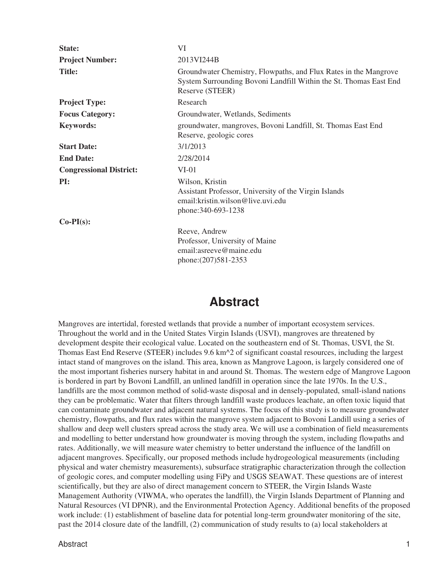| State:                         | VI                                                                                                                                                       |
|--------------------------------|----------------------------------------------------------------------------------------------------------------------------------------------------------|
| <b>Project Number:</b>         | 2013VI244B                                                                                                                                               |
| <b>Title:</b>                  | Groundwater Chemistry, Flowpaths, and Flux Rates in the Mangrove<br>System Surrounding Bovoni Landfill Within the St. Thomas East End<br>Reserve (STEER) |
| <b>Project Type:</b>           | Research                                                                                                                                                 |
| <b>Focus Category:</b>         | Groundwater, Wetlands, Sediments                                                                                                                         |
| <b>Keywords:</b>               | groundwater, mangroves, Bovoni Landfill, St. Thomas East End<br>Reserve, geologic cores                                                                  |
| <b>Start Date:</b>             | 3/1/2013                                                                                                                                                 |
| <b>End Date:</b>               | 2/28/2014                                                                                                                                                |
| <b>Congressional District:</b> | $VI-01$                                                                                                                                                  |
| PI:                            | Wilson, Kristin<br>Assistant Professor, University of the Virgin Islands<br>email: kristin. wilson@live.uvi.edu<br>phone: 340-693-1238                   |
| $Co-PI(s)$ :                   |                                                                                                                                                          |
|                                | Reeve, Andrew<br>Professor, University of Maine<br>email: as reeve@maine.edu<br>phone: (207) 581-2353                                                    |

## **Abstract**

Mangroves are intertidal, forested wetlands that provide a number of important ecosystem services. Throughout the world and in the United States Virgin Islands (USVI), mangroves are threatened by development despite their ecological value. Located on the southeastern end of St. Thomas, USVI, the St. Thomas East End Reserve (STEER) includes 9.6 km^2 of significant coastal resources, including the largest intact stand of mangroves on the island. This area, known as Mangrove Lagoon, is largely considered one of the most important fisheries nursery habitat in and around St. Thomas. The western edge of Mangrove Lagoon is bordered in part by Bovoni Landfill, an unlined landfill in operation since the late 1970s. In the U.S., landfills are the most common method of solid-waste disposal and in densely-populated, small-island nations they can be problematic. Water that filters through landfill waste produces leachate, an often toxic liquid that can contaminate groundwater and adjacent natural systems. The focus of this study is to measure groundwater chemistry, flowpaths, and flux rates within the mangrove system adjacent to Bovoni Landill using a series of shallow and deep well clusters spread across the study area. We will use a combination of field measurements and modelling to better understand how groundwater is moving through the system, including flowpaths and rates. Additionally, we will measure water chemistry to better understand the influence of the landfill on adjacent mangroves. Specifically, our proposed methods include hydrogeological measurements (including physical and water chemistry measurements), subsurface stratigraphic characterization through the collection of geologic cores, and computer modelling using FiPy and USGS SEAWAT. These questions are of interest scientifically, but they are also of direct management concern to STEER, the Virgin Islands Waste Management Authority (VIWMA, who operates the landfill), the Virgin Islands Department of Planning and Natural Resources (VI DPNR), and the Environmental Protection Agency. Additional benefits of the proposed work include: (1) establishment of baseline data for potential long-term groundwater monitoring of the site, past the 2014 closure date of the landfill, (2) communication of study results to (a) local stakeholders at